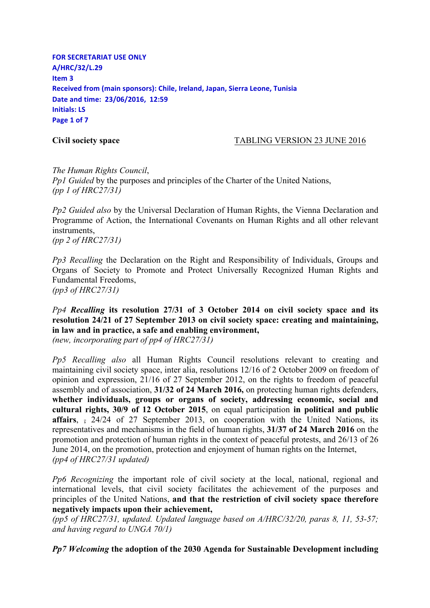**FOR SECRETARIAT USE ONLY A/HRC/32/L.29 Item 3 Received from (main sponsors): Chile, Ireland, Japan, Sierra Leone, Tunisia Date and time: 23/06/2016, 12:59 Initials: LS Page 1 of 7**

## **Civil society space** TABLING VERSION 23 JUNE 2016

*The Human Rights Council*, *Pp1 Guided* by the purposes and principles of the Charter of the United Nations, *(pp 1 of HRC27/31)*

*Pp2 Guided also* by the Universal Declaration of Human Rights, the Vienna Declaration and Programme of Action, the International Covenants on Human Rights and all other relevant instruments, *(pp 2 of HRC27/31)* 

*Pp3 Recalling* the Declaration on the Right and Responsibility of Individuals, Groups and Organs of Society to Promote and Protect Universally Recognized Human Rights and Fundamental Freedoms, *(pp3 of HRC27/31)*

*Pp4 Recalling* **its resolution 27/31 of 3 October 2014 on civil society space and its resolution 24/21 of 27 September 2013 on civil society space: creating and maintaining, in law and in practice, a safe and enabling environment,** *(new, incorporating part of pp4 of HRC27/31)*

*Pp5 Recalling also* all Human Rights Council resolutions relevant to creating and maintaining civil society space, inter alia, resolutions 12/16 of 2 October 2009 on freedom of opinion and expression, 21/16 of 27 September 2012, on the rights to freedom of peaceful assembly and of association, **31/32 of 24 March 2016,** on protecting human rights defenders, **whether individuals, groups or organs of society, addressing economic, social and cultural rights, 30/9 of 12 October 2015**, on equal participation **in political and public affairs**, , 24/24 of 27 September 2013, on cooperation with the United Nations, its representatives and mechanisms in the field of human rights, **31/37 of 24 March 2016** on the promotion and protection of human rights in the context of peaceful protests, and 26/13 of 26 June 2014, on the promotion, protection and enjoyment of human rights on the Internet, *(pp4 of HRC27/31 updated)*

*Pp6 Recognizing* the important role of civil society at the local, national, regional and international levels, that civil society facilitates the achievement of the purposes and principles of the United Nations, **and that the restriction of civil society space therefore negatively impacts upon their achievement,**

*(pp5 of HRC27/31, updated. Updated language based on A/HRC/32/20, paras 8, 11, 53-57; and having regard to UNGA 70/1)* 

*Pp7 Welcoming* **the adoption of the 2030 Agenda for Sustainable Development including**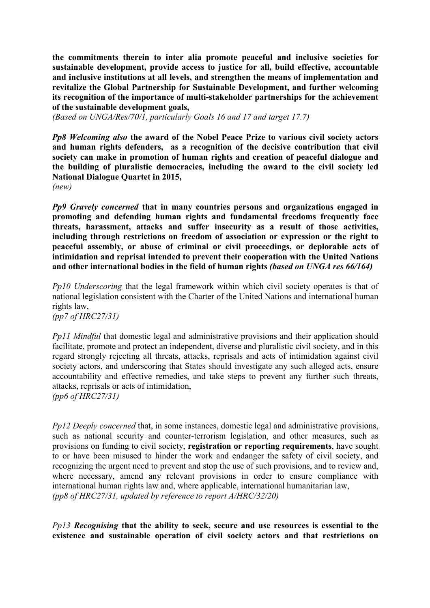**the commitments therein to inter alia promote peaceful and inclusive societies for sustainable development, provide access to justice for all, build effective, accountable and inclusive institutions at all levels, and strengthen the means of implementation and revitalize the Global Partnership for Sustainable Development, and further welcoming its recognition of the importance of multi-stakeholder partnerships for the achievement of the sustainable development goals,**

*(Based on UNGA/Res/70/1, particularly Goals 16 and 17 and target 17.7)*

*Pp8 Welcoming also* **the award of the Nobel Peace Prize to various civil society actors and human rights defenders, as a recognition of the decisive contribution that civil society can make in promotion of human rights and creation of peaceful dialogue and the building of pluralistic democracies, including the award to the civil society led National Dialogue Quartet in 2015,**

*(new)*

*Pp9 Gravely concerned* **that in many countries persons and organizations engaged in promoting and defending human rights and fundamental freedoms frequently face threats, harassment, attacks and suffer insecurity as a result of those activities, including through restrictions on freedom of association or expression or the right to peaceful assembly, or abuse of criminal or civil proceedings, or deplorable acts of intimidation and reprisal intended to prevent their cooperation with the United Nations and other international bodies in the field of human rights** *(based on UNGA res 66/164)*

*Pp10 Underscoring* that the legal framework within which civil society operates is that of national legislation consistent with the Charter of the United Nations and international human rights law,

*(pp7 of HRC27/31)*

*Pp11 Mindful* that domestic legal and administrative provisions and their application should facilitate, promote and protect an independent, diverse and pluralistic civil society, and in this regard strongly rejecting all threats, attacks, reprisals and acts of intimidation against civil society actors, and underscoring that States should investigate any such alleged acts, ensure accountability and effective remedies, and take steps to prevent any further such threats, attacks, reprisals or acts of intimidation, *(pp6 of HRC27/31)*

*Pp12 Deeply concerned* that, in some instances, domestic legal and administrative provisions, such as national security and counter-terrorism legislation, and other measures, such as provisions on funding to civil society, **registration or reporting requirements**, have sought to or have been misused to hinder the work and endanger the safety of civil society, and recognizing the urgent need to prevent and stop the use of such provisions, and to review and, where necessary, amend any relevant provisions in order to ensure compliance with international human rights law and, where applicable, international humanitarian law, *(pp8 of HRC27/31, updated by reference to report A/HRC/32/20)*

*Pp13 Recognising* **that the ability to seek, secure and use resources is essential to the existence and sustainable operation of civil society actors and that restrictions on**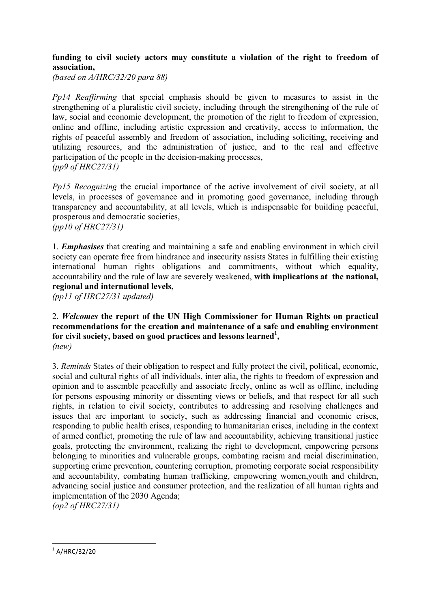## **funding to civil society actors may constitute a violation of the right to freedom of association,**

*(based on A/HRC/32/20 para 88)* 

*Pp14 Reaffirming* that special emphasis should be given to measures to assist in the strengthening of a pluralistic civil society, including through the strengthening of the rule of law, social and economic development, the promotion of the right to freedom of expression, online and offline, including artistic expression and creativity, access to information, the rights of peaceful assembly and freedom of association, including soliciting, receiving and utilizing resources, and the administration of justice, and to the real and effective participation of the people in the decision-making processes, *(pp9 of HRC27/31)*

*Pp15 Recognizing* the crucial importance of the active involvement of civil society, at all levels, in processes of governance and in promoting good governance, including through transparency and accountability, at all levels, which is indispensable for building peaceful, prosperous and democratic societies, *(pp10 of HRC27/31)*

1. *Emphasises* that creating and maintaining a safe and enabling environment in which civil society can operate free from hindrance and insecurity assists States in fulfilling their existing international human rights obligations and commitments, without which equality, accountability and the rule of law are severely weakened, **with implications at the national, regional and international levels,**

*(pp11 of HRC27/31 updated)*

## 2. *Welcomes* **the report of the UN High Commissioner for Human Rights on practical recommendations for the creation and maintenance of a safe and enabling environment for civil society, based on good practices and lessons learned<sup>1</sup> ,** *(new)*

3. *Reminds* States of their obligation to respect and fully protect the civil, political, economic, social and cultural rights of all individuals, inter alia, the rights to freedom of expression and opinion and to assemble peacefully and associate freely, online as well as offline, including for persons espousing minority or dissenting views or beliefs, and that respect for all such rights, in relation to civil society, contributes to addressing and resolving challenges and issues that are important to society, such as addressing financial and economic crises, responding to public health crises, responding to humanitarian crises, including in the context of armed conflict, promoting the rule of law and accountability, achieving transitional justice goals, protecting the environment, realizing the right to development, empowering persons belonging to minorities and vulnerable groups, combating racism and racial discrimination, supporting crime prevention, countering corruption, promoting corporate social responsibility and accountability, combating human trafficking, empowering women,youth and children, advancing social justice and consumer protection, and the realization of all human rights and implementation of the 2030 Agenda;

*(op2 of HRC27/31)*

 

 $1$  A/HRC/32/20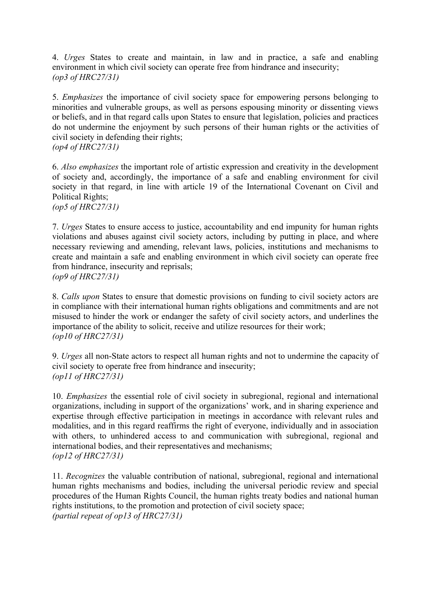4. *Urges* States to create and maintain, in law and in practice, a safe and enabling environment in which civil society can operate free from hindrance and insecurity; *(op3 of HRC27/31)*

5. *Emphasizes* the importance of civil society space for empowering persons belonging to minorities and vulnerable groups, as well as persons espousing minority or dissenting views or beliefs, and in that regard calls upon States to ensure that legislation, policies and practices do not undermine the enjoyment by such persons of their human rights or the activities of civil society in defending their rights; *(op4 of HRC27/31)*

6. *Also emphasizes* the important role of artistic expression and creativity in the development of society and, accordingly, the importance of a safe and enabling environment for civil society in that regard, in line with article 19 of the International Covenant on Civil and Political Rights;

*(op5 of HRC27/31)*

7. *Urges* States to ensure access to justice, accountability and end impunity for human rights violations and abuses against civil society actors, including by putting in place, and where necessary reviewing and amending, relevant laws, policies, institutions and mechanisms to create and maintain a safe and enabling environment in which civil society can operate free from hindrance, insecurity and reprisals; *(op9 of HRC27/31)*

8. *Calls upon* States to ensure that domestic provisions on funding to civil society actors are in compliance with their international human rights obligations and commitments and are not misused to hinder the work or endanger the safety of civil society actors, and underlines the importance of the ability to solicit, receive and utilize resources for their work; *(op10 of HRC27/31)*

9. *Urges* all non-State actors to respect all human rights and not to undermine the capacity of civil society to operate free from hindrance and insecurity; *(op11 of HRC27/31)*

10. *Emphasizes* the essential role of civil society in subregional, regional and international organizations, including in support of the organizations' work, and in sharing experience and expertise through effective participation in meetings in accordance with relevant rules and modalities, and in this regard reaffirms the right of everyone, individually and in association with others, to unhindered access to and communication with subregional, regional and international bodies, and their representatives and mechanisms; *(op12 of HRC27/31)*

11. *Recognizes* the valuable contribution of national, subregional, regional and international human rights mechanisms and bodies, including the universal periodic review and special procedures of the Human Rights Council, the human rights treaty bodies and national human rights institutions, to the promotion and protection of civil society space; *(partial repeat of op13 of HRC27/31)*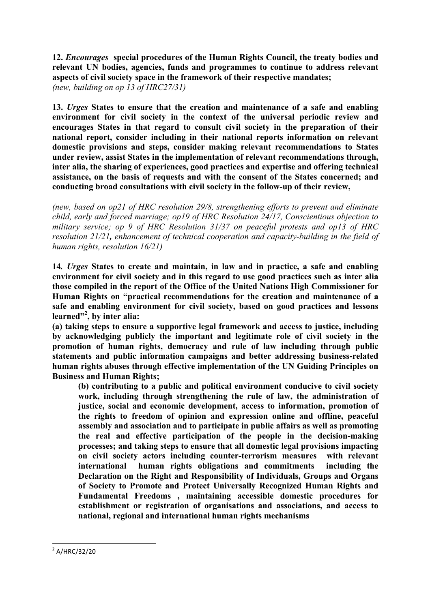**12.** *Encourages* **special procedures of the Human Rights Council, the treaty bodies and relevant UN bodies, agencies, funds and programmes to continue to address relevant aspects of civil society space in the framework of their respective mandates;** *(new, building on op 13 of HRC27/31)*

**13.** *Urges* **States to ensure that the creation and maintenance of a safe and enabling environment for civil society in the context of the universal periodic review and encourages States in that regard to consult civil society in the preparation of their national report, consider including in their national reports information on relevant domestic provisions and steps, consider making relevant recommendations to States under review, assist States in the implementation of relevant recommendations through, inter alia, the sharing of experiences, good practices and expertise and offering technical assistance, on the basis of requests and with the consent of the States concerned; and conducting broad consultations with civil society in the follow-up of their review,**

*(new, based on op21 of HRC resolution 29/8, strengthening efforts to prevent and eliminate child, early and forced marriage; op19 of HRC Resolution 24/17, Conscientious objection to military service; op 9 of HRC Resolution 31/37 on peaceful protests and op13 of HRC resolution 21/21, enhancement of technical cooperation and capacity-building in the field of human rights, resolution 16/21)*

**14***. Urges* **States to create and maintain, in law and in practice, a safe and enabling environment for civil society and in this regard to use good practices such as inter alia those compiled in the report of the Office of the United Nations High Commissioner for Human Rights on "practical recommendations for the creation and maintenance of a safe and enabling environment for civil society, based on good practices and lessons learned"2 , by inter alia:**

**(a) taking steps to ensure a supportive legal framework and access to justice, including by acknowledging publicly the important and legitimate role of civil society in the promotion of human rights, democracy and rule of law including through public statements and public information campaigns and better addressing business-related human rights abuses through effective implementation of the UN Guiding Principles on Business and Human Rights;** 

**(b) contributing to a public and political environment conducive to civil society work, including through strengthening the rule of law, the administration of justice, social and economic development, access to information, promotion of the rights to freedom of opinion and expression online and offline, peaceful assembly and association and to participate in public affairs as well as promoting the real and effective participation of the people in the decision-making processes; and taking steps to ensure that all domestic legal provisions impacting on civil society actors including counter-terrorism measures with relevant international human rights obligations and commitments including the Declaration on the Right and Responsibility of Individuals, Groups and Organs of Society to Promote and Protect Universally Recognized Human Rights and Fundamental Freedoms , maintaining accessible domestic procedures for establishment or registration of organisations and associations, and access to national, regional and international human rights mechanisms** 

 

 $^{2}$  A/HRC/32/20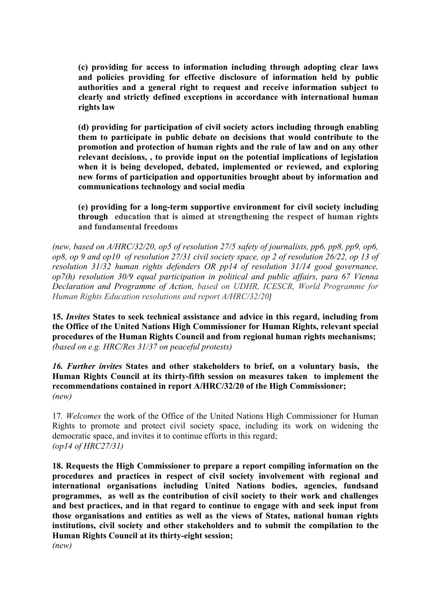**(c) providing for access to information including through adopting clear laws and policies providing for effective disclosure of information held by public authorities and a general right to request and receive information subject to clearly and strictly defined exceptions in accordance with international human rights law** 

**(d) providing for participation of civil society actors including through enabling them to participate in public debate on decisions that would contribute to the promotion and protection of human rights and the rule of law and on any other relevant decisions, , to provide input on the potential implications of legislation when it is being developed, debated, implemented or reviewed, and exploring new forms of participation and opportunities brought about by information and communications technology and social media**

**(e) providing for a long-term supportive environment for civil society including through education that is aimed at strengthening the respect of human rights and fundamental freedoms** 

*(new, based on A/HRC/32/20, op5 of resolution 27/5 safety of journalists, pp6, pp8, pp9, op6, op8, op 9 and op10 of resolution 27/31 civil society space, op 2 of resolution 26/22, op 13 of resolution 31/32 human rights defenders OR pp14 of resolution 31/14 good governance, op7(h) resolution 30/9 equal participation in political and public affairs, para 67 Vienna Declaration and Programme of Action, based on UDHR, ICESCR, World Programme for Human Rights Education resolutions and report A/HRC/32/20]*

**15.** *Invites* **States to seek technical assistance and advice in this regard, including from the Office of the United Nations High Commissioner for Human Rights, relevant special procedures of the Human Rights Council and from regional human rights mechanisms;** *(based on e.g. HRC/Res 31/37 on peaceful protests)* 

*16. Further invites* **States and other stakeholders to brief, on a voluntary basis, the Human Rights Council at its thirty-fifth session on measures taken to implement the recommendations contained in report A/HRC/32/20 of the High Commissioner;** *(new)* 

17*. Welcomes* the work of the Office of the United Nations High Commissioner for Human Rights to promote and protect civil society space, including its work on widening the democratic space, and invites it to continue efforts in this regard; *(op14 of HRC27/31)*

**18. Requests the High Commissioner to prepare a report compiling information on the procedures and practices in respect of civil society involvement with regional and international organisations including United Nations bodies, agencies, fundsand programmes, as well as the contribution of civil society to their work and challenges and best practices, and in that regard to continue to engage with and seek input from those organisations and entities as well as the views of States, national human rights institutions, civil society and other stakeholders and to submit the compilation to the Human Rights Council at its thirty-eight session;**  *(new)*